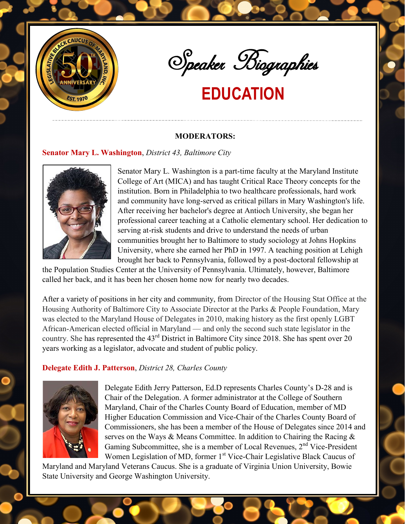

Speaker Biographies

## **EDUCATION**

#### **MODERATORS:**

#### **Senator Mary L. Washington**, *District 43, Baltimore City*



Senator Mary L. Washington is a part-time faculty at the Maryland Institute College of Art (MICA) and has taught Critical Race Theory concepts for the institution. Born in Philadelphia to two healthcare professionals, hard work and community have long-served as critical pillars in Mary Washington's life. After receiving her bachelor's degree at Antioch University, she began her professional career teaching at a Catholic elementary school. Her dedication to serving at-risk students and drive to understand the needs of urban communities brought her to Baltimore to study sociology at Johns Hopkins University, where she earned her PhD in 1997. A teaching position at Lehigh brought her back to Pennsylvania, followed by a post-doctoral fellowship at

the Population Studies Center at the University of Pennsylvania. Ultimately, however, Baltimore called her back, and it has been her chosen home now for nearly two decades.

After a variety of positions in her city and community, from Director of the Housing Stat Office at the Housing Authority of Baltimore City to Associate Director at the Parks & People Foundation, Mary was elected to the Maryland House of Delegates in 2010, making history as the first openly LGBT African-American elected official in Maryland — and only the second such state legislator in the country. She has represented the 43rd District in Baltimore City since 2018. She has spent over 20 years working as a legislator, advocate and student of public policy.

#### **Delegate Edith J. Patterson**, *District 28, Charles County*



Delegate Edith Jerry Patterson, Ed.D represents Charles County's D-28 and is Chair of the Delegation. A former administrator at the College of Southern Maryland, Chair of the Charles County Board of Education, member of MD Higher Education Commission and Vice-Chair of the Charles County Board of Commissioners, she has been a member of the House of Delegates since 2014 and serves on the Ways & Means Committee. In addition to Chairing the Racing & Gaming Subcommittee, she is a member of Local Revenues,  $2<sup>nd</sup>$  Vice-President Women Legislation of MD, former 1<sup>st</sup> Vice-Chair Legislative Black Caucus of

Maryland and Maryland Veterans Caucus. She is a graduate of Virginia Union University, Bowie State University and George Washington University.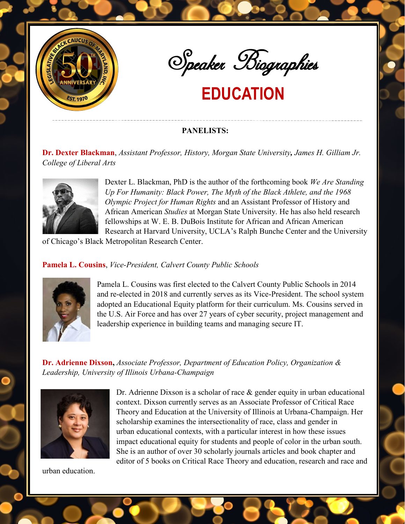



# **EDUCATION**

### **PANELISTS:**

**Dr. Dexter Blackman**, *Assistant Professor, History, Morgan State University, James H. Gilliam Jr. College of Liberal Arts* 



Dexter L. Blackman, PhD is the author of the forthcoming book *We Are Standing Up For Humanity: Black Power, The Myth of the Black Athlete, and the 1968 Olympic Project for Human Rights* and an Assistant Professor of History and African American *Studies* at Morgan State University. He has also held research fellowships at W. E. B. DuBois Institute for African and African American Research at Harvard University, UCLA's Ralph Bunche Center and the University

of Chicago's Black Metropolitan Research Center.

### **Pamela L. Cousins**, *Vice-President, Calvert County Public Schools*



Pamela L. Cousins was first elected to the Calvert County Public Schools in 2014 and re-elected in 2018 and currently serves as its Vice-President. The school system adopted an Educational Equity platform for their curriculum. Ms. Cousins served in the U.S. Air Force and has over 27 years of cyber security, project management and leadership experience in building teams and managing secure IT.

**Dr. Adrienne Dixson,** *Associate Professor, Department of Education Policy, Organization & Leadership, University of Illinois Urbana-Champaign* 



Dr. Adrienne Dixson is a scholar of race & gender equity in urban educational context. Dixson currently serves as an Associate Professor of Critical Race Theory and Education at the University of Illinois at Urbana-Champaign. Her scholarship examines the intersectionality of race, class and gender in urban educational contexts, with a particular interest in how these issues impact educational equity for students and people of color in the urban south. She is an author of over 30 scholarly journals articles and book chapter and editor of 5 books on Critical Race Theory and education, research and race and

urban education.